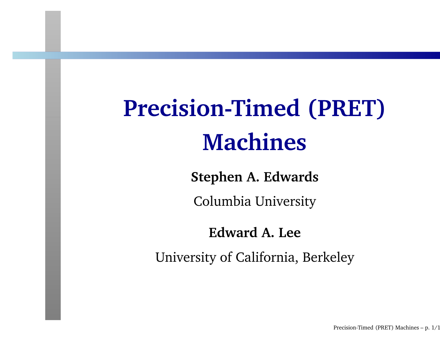# **Precision-Timed (PRET)Machines**

**Stephen A. Edwards**

Columbia University

#### **Edward A. Lee**

University of California, Berkeley

Precision-Timed (PRET) Machines  $-$  p.  $1/1$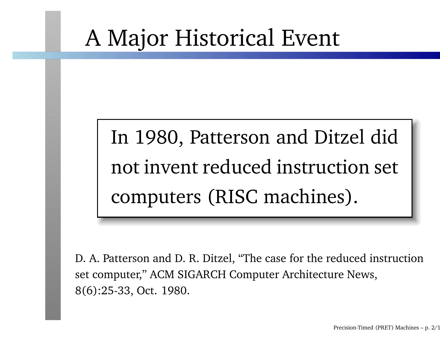### <sup>A</sup> Major Historical Event

## In 1980, Patterson and Ditzel didnot invent reduced instruction setcomputers (RISC machines).

D. A. Patterson and D. R. Ditzel, "The case for the reduced instructionset computer," ACM SIGARCH Computer Architecture News, 8(6):25-33, Oct. 1980.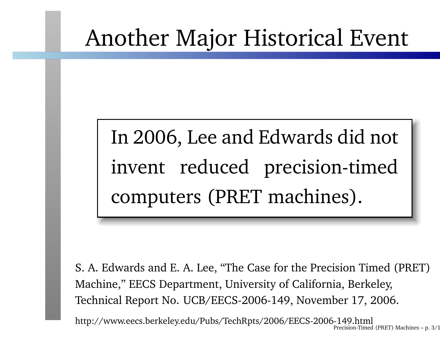### Another Major Historical Event

## In 2006, Lee and Edwards did notinvent reduced precision-timedcomputers (PRET machines).

S. A. Edwards and E. A. Lee, "The Case for the Precision Timed (PRET)Machine," EECS Department, University of California, Berkeley, Technical Report No. UCB/EECS-2006-149, November 17, 2006.

http://www.eecs.berkeley.edu/Pubs/TechRpts/2006/EECS-2006-149.htmlPrecision-Timed (PRET) Machines – p. 3/19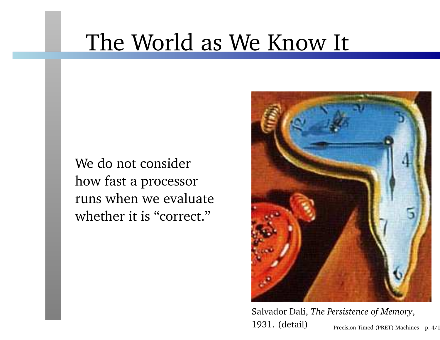### The World as We Know It

We do not considerhow fast <sup>a</sup> processorruns when we evaluatewhether it is "correct."



Salvador Dali, *The Persistence of Memory*, 1931. (detail)

Precision-Timed (PRET) Machines – p.  $4/1$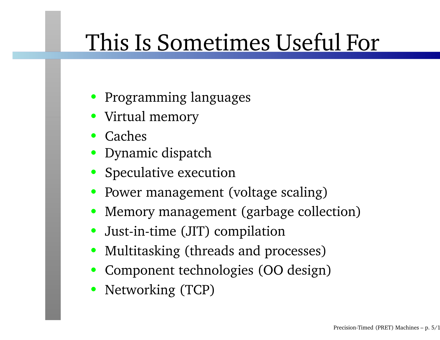## This Is Sometimes Useful For

- Programming languages
- Virtual memory
- Caches
- Dynamic dispatch
- Speculative execution
- Power managemen<sup>t</sup> (voltage scaling)
- Memory managemen<sup>t</sup> (garbage collection)
- Just-in-time (JIT) compilation
- Multitasking (threads and processes)
- Component technologies (OO design)
- Networking (TCP)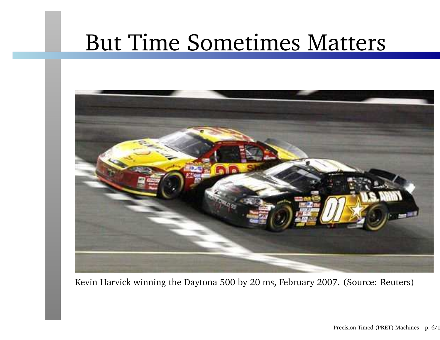### But Time Sometimes Matters



Kevin Harvick winning the Daytona <sup>500</sup> by <sup>20</sup> ms, February 2007. (Source: Reuters)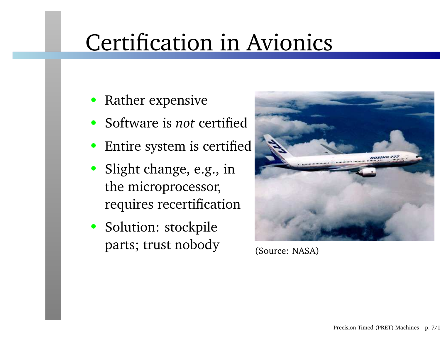### Certification in Avionics

- •Rather expensive
- Software is *not* certified
- •Entire system is certified
- Slight change, e.g., inthe microprocessor, requires recertification
- Solution: stockpileparts; trust nobody



(Source: NASA)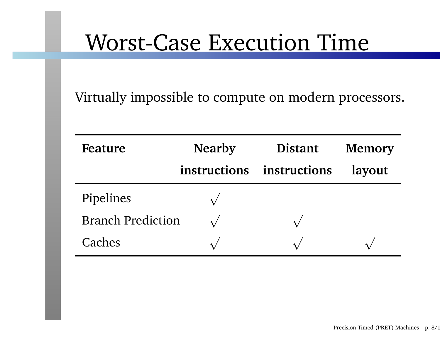### Worst-Case Execution Time

Virtually impossible to compute on modern processors.

| Feature                  | <b>Nearby</b> | <b>Distant</b> | <b>Memory</b> |
|--------------------------|---------------|----------------|---------------|
|                          | instructions  | instructions   | layout        |
| Pipelines                |               |                |               |
| <b>Branch Prediction</b> |               |                |               |
| Caches                   |               |                |               |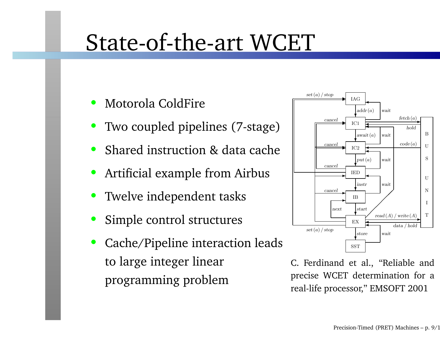### State-of-the-art WCET

- •Motorola ColdFire
- •Two coupled <sup>p</sup>ipelines (7-stage)
- •Shared instruction & data cache
- •Artificial example from Airbus
- •Twelve independent tasks
- •Simple control structures
- • Cache/Pipeline interaction leadsto large integer linearprogramming problem



C. Ferdinand et al., "Reliable and precise WCET determination for <sup>a</sup>real-life processor," EMSOFT <sup>2001</sup>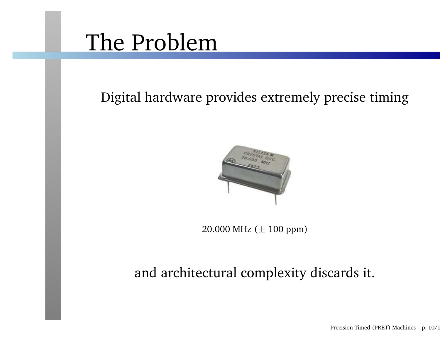### The Problem

Digital hardware provides extremely precise timing



 $20.000$  MHz ( $\pm$   $100$  ppm)

#### and architectural complexity discards it.

Precision-Timed (PRET) Machines – p. 10/19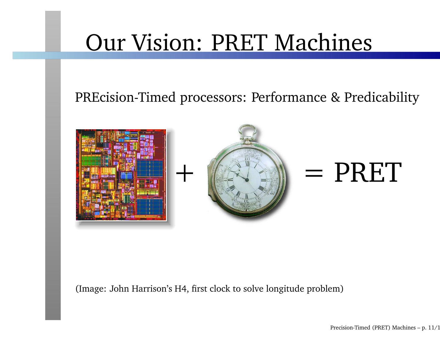### Our Vision: PRET Machines

#### PREcision-Timed processors: Performance & Predicability



(Image: John Harrison's H4, first clock to solve longitude problem)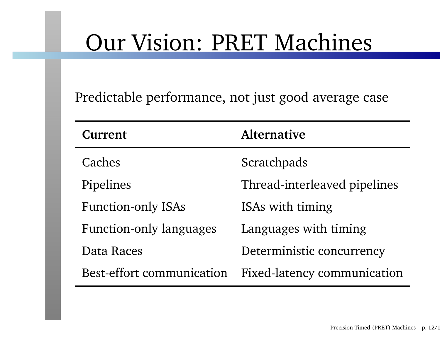### Our Vision: PRET Machines

Predictable performance, not just good average case

| Current                          | <b>Alternative</b>                 |  |
|----------------------------------|------------------------------------|--|
| Caches                           | Scratchpads                        |  |
| Pipelines                        | Thread-interleaved pipelines       |  |
| <b>Function-only ISAs</b>        | ISAs with timing                   |  |
| <b>Function-only languages</b>   | Languages with timing              |  |
| Data Races                       | Deterministic concurrency          |  |
| <b>Best-effort communication</b> | <b>Fixed-latency communication</b> |  |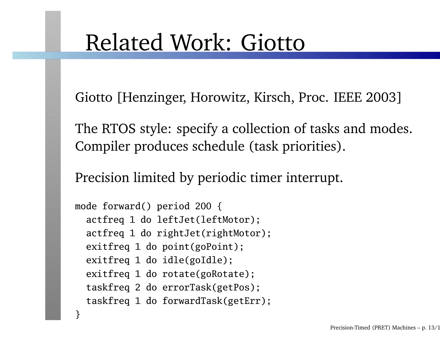### Related Work: Giotto

Giotto [Henzinger, Horowitz, Kirsch, Proc. IEEE 2003]

The RTOS style: specify <sup>a</sup> collection of tasks and modes. Compiler produces schedule (task priorities).

Precision limited by periodic timer interrupt.

```
mode forward() period 200 {
actfreq 1 do leftJet(leftMotor);
actfreq 1 do rightJet(rightMotor);
exitfreq 1 do point(goPoint);
exitfreq 1 do idle(goIdle);
exitfreq 1 do rotate(goRotate);
taskfreq 2 do errorTask(getPos);
taskfreq 1 do forwardTask(getErr);
```
}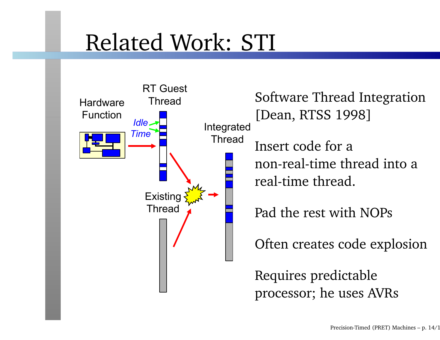## Related Work: STI



Software Thread Integration[Dean, RTSS 1998]Insert code for <sup>a</sup> non-real-time thread into <sup>a</sup>real-time thread.

Pad the rest with NOPs

Often creates code explosion

Requires predictableprocessor; he uses AVRs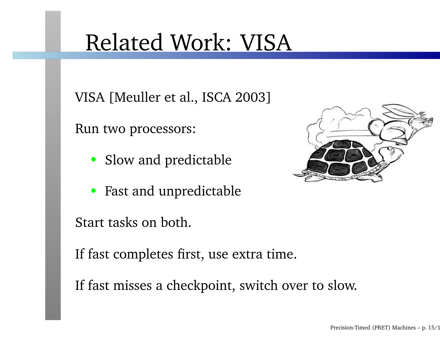### Related Work: VISA

VISA [Meuller et al., ISCA 2003]

Run two processors:

- Slow and predictable
- Fast and unpredictable

Start tasks on both.

If fast completes first, use extra time.

If fast misses <sup>a</sup> checkpoint, switch over to slow.

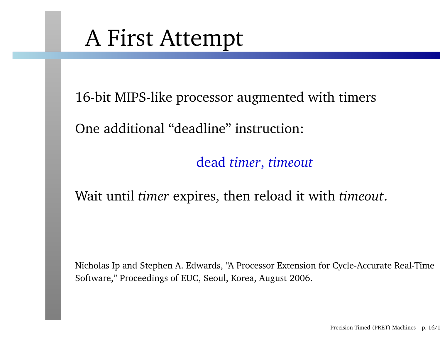### <sup>A</sup> First Attempt

16-bit MIPS-like processor augmented with timers

One additional "deadline" instruction:

dead *timer*, *timeout*

### Wait until *timer* expires, then reload it with *timeout*.

Nicholas Ip and Stephen A. Edwards, "A Processor Extension for Cycle-Accurate Real-TimeSoftware," Proceedings of EUC, Seoul, Korea, August 2006.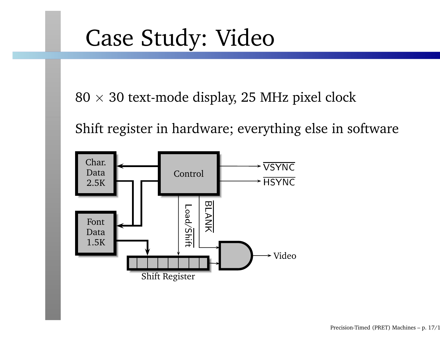### Case Study: Video

 $80\times30$  text-mode display, 25 MHz pixel clock

Shift register in hardware; everything else in software

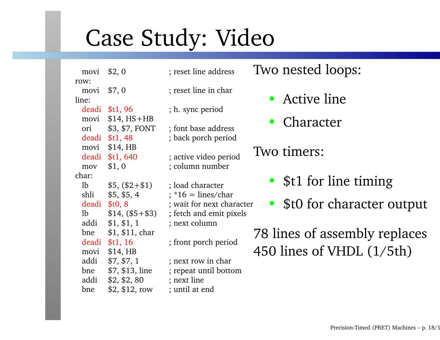## Case Study: Video

movi \$2, 0 ; reset line address row:movi \$7, 0 ; reset line in char line:deadi \$t1, 96movi  $$14, HS+HB$ \$3, \$7, FONT ori \$3, \$7, FONT ; font base address deadi \$t1, 48movi \$14, HB deadi \$t1, 640mov \$1,0 ; column number char:lb  $$5, ($2+$1)$  ; load character shli \$5, \$5, <sup>4</sup> ; \*16 <sup>=</sup> lines/chardeadi \$t0, <sup>8</sup>addi \$1, \$1, 1 ; next column bne \$1, \$11, chardeadi \$t1, 16movi \$14, HB $$7, $7, 1$ addi  $$7, $7, 1$  ; next row in char bne \$7, \$13, line ; repea<sup>t</sup> until bottomaddi \$2, \$2, <sup>80</sup> ; next linebne  $$2, $12, row$ 

- 
- 
- ; h. sync period
- ; back porc<sup>h</sup> period
	- ; active video period
- ; wait for next character lb  $$14, ($5 + $3)$ ; fetch and emit pixels
	- ; front porc<sup>h</sup> period
	-
	-
	-
	- ; until at end

Two nested loops:

- Active line
- •Character
- Two timers:
	- \$t1 for line timing
	- •\$t0 for character output

78 lines of assembly replaces450 lines of VHDL (1/5th)